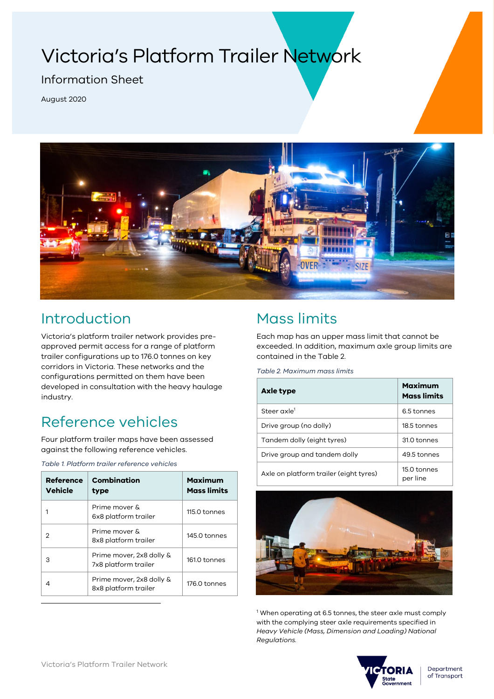# Victoria's Platform Trailer Network

### Information Sheet

August 2020



### Introduction

Victoria's platform trailer network provides preapproved permit access for a range of platform trailer configurations up to 176.0 tonnes on key corridors in Victoria. These networks and the configurations permitted on them have been developed in consultation with the heavy haulage industry.

## Reference vehicles

Four platform trailer maps have been assessed against the following reference vehicles.

*Table 1. Platform trailer reference vehicles*

| Reference<br><b>Vehicle</b> | <b>Combination</b><br>type                       | Maximum<br><b>Mass limits</b> |
|-----------------------------|--------------------------------------------------|-------------------------------|
|                             | Prime mover &<br>6x8 platform trailer            | 115.0 tonnes                  |
|                             | Prime mover &<br>8x8 platform trailer            | 145.0 tonnes                  |
| З                           | Prime mover, 2x8 dolly &<br>7x8 platform trailer | 161.0 tonnes                  |
|                             | Prime mover, 2x8 dolly &<br>8x8 platform trailer | 176.0 tonnes                  |

## Mass limits

Each map has an upper mass limit that cannot be exceeded. In addition, maximum axle group limits are contained in the [Table 2.](#page-0-0)

<span id="page-0-0"></span>*Table 2. Maximum mass limits*

| Axle type                              | Maximum<br><b>Mass limits</b> |
|----------------------------------------|-------------------------------|
| Steer axle <sup>1</sup>                | 6.5 tonnes                    |
| Drive group (no dolly)                 | 18.5 tonnes                   |
| Tandem dolly (eight tyres)             | 31.0 tonnes                   |
| Drive group and tandem dolly           | 49.5 tonnes                   |
| Axle on platform trailer (eight tyres) | 15.0 tonnes<br>per line       |



<sup>1</sup> When operating at 6.5 tonnes, the steer axle must comply with the complying steer axle requirements specified in *Heavy Vehicle (Mass, Dimension and Loading) National Regulations.*

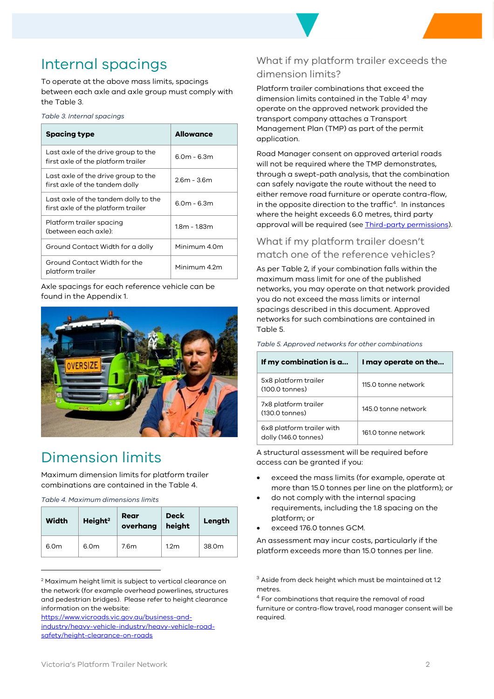### Internal spacings

To operate at the above mass limits, spacings between each axle and axle group must comply with th[e Table 3.](#page-1-0)

<span id="page-1-0"></span>

| Table 3. Internal spacings |  |
|----------------------------|--|
|----------------------------|--|

| <b>Spacing type</b>                                                        | <b>Allowance</b> |
|----------------------------------------------------------------------------|------------------|
| Last axle of the drive group to the<br>first axle of the platform trailer  | $6.0m - 6.3m$    |
| Last axle of the drive group to the<br>first axle of the tandem dolly      | 26m - 36m        |
| Last axle of the tandem dolly to the<br>first axle of the platform trailer | $6.0m - 6.3m$    |
| Platform trailer spacing<br>(between each axle):                           | 18m - 183m       |
| Ground Contact Width for a dolly                                           | Minimum 4.0m     |
| Ground Contact Width for the<br>platform trailer                           | Minimum 42m      |

Axle spacings for each reference vehicle can be found in th[e Appendix 1.](#page-5-0)



### Dimension limits

Maximum dimension limits for platform trailer combinations are contained in the [Table 4.](#page-1-1)

<span id="page-1-1"></span>*Table 4. Maximum dimensions limits*

| <b>Width</b>     | Height <sup>2</sup> | Rear<br>overhang | <b>Deck</b><br>height | Length |
|------------------|---------------------|------------------|-----------------------|--------|
| 6.0 <sub>m</sub> | 6.0 <sub>m</sub>    | 7.6m             | 1.2 <sub>m</sub>      | 38.0m  |

<sup>2</sup> Maximum height limit is subject to vertical clearance on the network (for example overhead powerlines, structures and pedestrian bridges). Please refer to height clearance information on the website:

[https://www.vicroads.vic.gov.au/business-and-](https://www.vicroads.vic.gov.au/business-and-industry/heavy-vehicle-industry/heavy-vehicle-road-safety/height-clearance-on-roads)

[industry/heavy-vehicle-industry/heavy-vehicle-road](https://www.vicroads.vic.gov.au/business-and-industry/heavy-vehicle-industry/heavy-vehicle-road-safety/height-clearance-on-roads)[safety/height-clearance-on-roads](https://www.vicroads.vic.gov.au/business-and-industry/heavy-vehicle-industry/heavy-vehicle-road-safety/height-clearance-on-roads)

### What if my platform trailer exceeds the dimension limits?

Platform trailer combinations that exceed the dimension limits contained in the [Table 4](#page-1-1) <sup>3</sup> may operate on the approved network provided the transport company attaches a Transport Management Plan (TMP) as part of the permit application.

Road Manager consent on approved arterial roads will not be required where the TMP demonstrates, through a swept-path analysis, that the combination can safely navigate the route without the need to either remove road furniture or operate contra-flow, in the opposite direction to the traffic<sup>4</sup> . In instances where the height exceeds 6.0 metres, third party approval will be required (se[e Third-party permissions\)](#page-3-0).

### What if my platform trailer doesn't match one of the reference vehicles?

As per [Table 2,](#page-0-0) if your combination falls within the maximum mass limit for one of the published networks, you may operate on that network provided you do not exceed the mass limits or internal spacings described in this document. Approved networks for such combinations are contained in [Table 5.](#page-1-2)

| If my combination is a                            | I may operate on the |
|---------------------------------------------------|----------------------|
| 5x8 platform trailer<br>(100.0 tonnes)            | 115.0 tonne network  |
| 7x8 platform trailer<br>(130.0 tonnes)            | 145.0 tonne network  |
| 6x8 platform trailer with<br>dolly (146.0 tonnes) | 161.0 tonne network  |

<span id="page-1-2"></span>*Table 5. Approved networks for other combinations*

A structural assessment will be required before access can be granted if you:

- exceed the mass limits (for example, operate at more than 15.0 tonnes per line on the platform); or
- do not comply with the internal spacing requirements, including the 1.8 spacing on the platform; or
- exceed 176.0 tonnes GCM.

An assessment may incur costs, particularly if the platform exceeds more than 15.0 tonnes per line.

<sup>3</sup> Aside from deck height which must be maintained at 1.2 metres.

<sup>4</sup> For combinations that require the removal of road furniture or contra-flow travel, road manager consent will be required.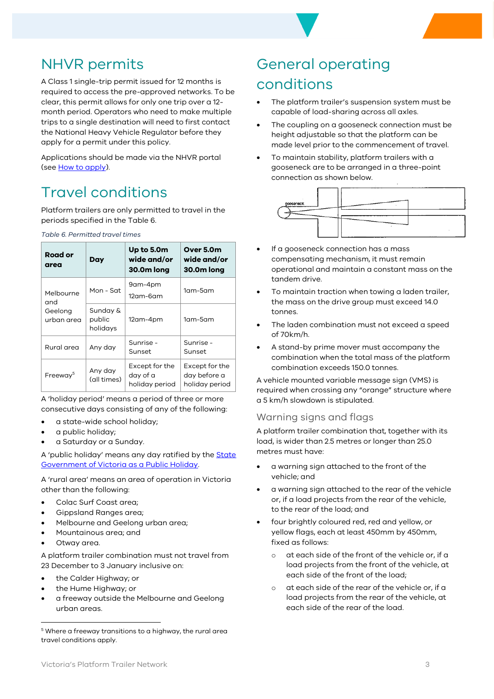### NHVR permits

A Class 1 single-trip permit issued for 12 months is required to access the pre-approved networks. To be clear, this permit allows for only one trip over a 12 month period. Operators who need to make multiple trips to a single destination will need to first contact the National Heavy Vehicle Regulator before they apply for a permit under this policy.

Applications should be made via the NHVR portal (see [How to apply\)](#page-4-0).

### Travel conditions

Platform trailers are only permitted to travel in the periods specified in the [Table 6.](#page-2-0)

<span id="page-2-0"></span>*Table 6. Permitted travel times*

| Road or<br>area       | Day                            | Up to 5.0m<br>wide and/or<br>30.0m long      | Over 5.0m<br>wide and/or<br>30.0m long           |
|-----------------------|--------------------------------|----------------------------------------------|--------------------------------------------------|
| Melbourne<br>and      | Mon - Sat                      | 9am-4pm<br>12am-6am                          | $1$ am- $5$ am                                   |
| Geelong<br>urban area | Sunday &<br>public<br>holidays | 12am-4pm                                     | 1am-5am                                          |
| Rural area            | Any day                        | Sunrise -<br>Sunset                          | Sunrise -<br>Sunset                              |
| Freeway <sup>5</sup>  | Any day<br>(all times)         | Except for the<br>day of a<br>holiday period | Except for the<br>day before a<br>holiday period |

A 'holiday period' means a period of three or more consecutive days consisting of any of the following:

- a state-wide school holiday;
- a public holiday;
- a Saturday or a Sunday.

A 'public holiday' means any day ratified by the State [Government of Victoria as a Public Holiday.](https://vicroads-my.sharepoint.com/personal/mondi_roads_vic_gov_au/Documents/Attachments)

A 'rural area' means an area of operation in Victoria other than the following:

- Colac Surf Coast area;
- Gippsland Ranges area;
- Melbourne and Geelong urban area;
- Mountainous area; and
- Otway area.

A platform trailer combination must not travel from 23 December to 3 January inclusive on:

- the Calder Highway; or
- the Hume Highway; or
- a freeway outside the Melbourne and Geelong urban areas.

# General operating

### conditions

- The platform trailer's suspension system must be capable of load-sharing across all axles.
- The coupling on a gooseneck connection must be height adjustable so that the platform can be made level prior to the commencement of travel.
- To maintain stability, platform trailers with a gooseneck are to be arranged in a three-point connection as shown below.



- If a gooseneck connection has a mass compensating mechanism, it must remain operational and maintain a constant mass on the tandem drive.
- To maintain traction when towing a laden trailer, the mass on the drive group must exceed 14.0 tonnes.
- The laden combination must not exceed a speed of 70km/h.
- A stand-by prime mover must accompany the combination when the total mass of the platform combination exceeds 150.0 tonnes.

A vehicle mounted variable message sign (VMS) is required when crossing any "orange" structure where a 5 km/h slowdown is stipulated.

#### Warning signs and flags

A platform trailer combination that, together with its load, is wider than 2.5 metres or longer than 25.0 metres must have:

- a warning sign attached to the front of the vehicle; and
- a warning sign attached to the rear of the vehicle or, if a load projects from the rear of the vehicle, to the rear of the load; and
- four brightly coloured red, red and yellow, or yellow flags, each at least 450mm by 450mm, fixed as follows:
	- o at each side of the front of the vehicle or, if a load projects from the front of the vehicle, at each side of the front of the load;
	- o at each side of the rear of the vehicle or, if a load projects from the rear of the vehicle, at each side of the rear of the load.

<sup>&</sup>lt;sup>5</sup> Where a freeway transitions to a highway, the rural area travel conditions apply.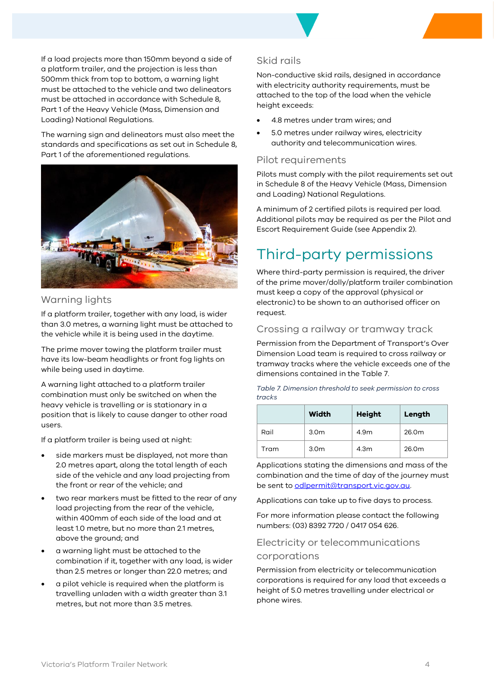If a load projects more than 150mm beyond a side of a platform trailer, and the projection is less than 500mm thick from top to bottom, a warning light must be attached to the vehicle and two delineators must be attached in accordance with Schedule 8, Part 1 of the Heavy Vehicle (Mass, Dimension and Loading) National Regulations.

The warning sign and delineators must also meet the standards and specifications as set out in Schedule 8, Part 1 of the aforementioned regulations.



#### Warning lights

If a platform trailer, together with any load, is wider than 3.0 metres, a warning light must be attached to the vehicle while it is being used in the daytime.

The prime mover towing the platform trailer must have its low-beam headlights or front fog lights on while being used in daytime.

A warning light attached to a platform trailer combination must only be switched on when the heavy vehicle is travelling or is stationary in a position that is likely to cause danger to other road users.

If a platform trailer is being used at night:

- side markers must be displayed, not more than 2.0 metres apart, along the total length of each side of the vehicle and any load projecting from the front or rear of the vehicle; and
- two rear markers must be fitted to the rear of any load projecting from the rear of the vehicle, within 400mm of each side of the load and at least 1.0 metre, but no more than 2.1 metres, above the ground; and
- a warning light must be attached to the combination if it, together with any load, is wider than 2.5 metres or longer than 22.0 metres; and
- a pilot vehicle is required when the platform is travelling unladen with a width greater than 3.1 metres, but not more than 3.5 metres.

#### Skid rails

Non-conductive skid rails, designed in accordance with electricity authority requirements, must be attached to the top of the load when the vehicle height exceeds:

- 4.8 metres under tram wires; and
- 5.0 metres under railway wires, electricity authority and telecommunication wires.

#### Pilot requirements

Pilots must comply with the pilot requirements set out in Schedule 8 of the Heavy Vehicle (Mass, Dimension and Loading) National Regulations.

A minimum of 2 certified pilots is required per load. Additional pilots may be required as per the Pilot and Escort Requirement Guide (se[e Appendix 2\)](#page-6-0).

### <span id="page-3-0"></span>Third-party permissions

Where third-party permission is required, the driver of the prime mover/dolly/platform trailer combination must keep a copy of the approval (physical or electronic) to be shown to an authorised officer on request.

#### Crossing a railway or tramway track

Permission from the Department of Transport's Over Dimension Load team is required to cross railway or tramway tracks where the vehicle exceeds one of the dimensions contained in the [Table 7.](#page-3-1)

<span id="page-3-1"></span>

| Table 7. Dimension threshold to seek permission to cross |  |
|----------------------------------------------------------|--|
| tracks                                                   |  |

|      | Width            | <b>Height</b> | Length |
|------|------------------|---------------|--------|
| Rail | 3.0 <sub>m</sub> | 4.9m          | 26.0m  |
| Tram | 3.0 <sub>m</sub> | 4.3m          | 26.0m  |

Applications stating the dimensions and mass of the combination and the time of day of the journey must be sent to **odlpermit@transport.vic.gov.au**.

Applications can take up to five days to process.

For more information please contact the following numbers: (03) 8392 7720 / 0417 054 626.

#### Electricity or telecommunications corporations

Permission from electricity or telecommunication corporations is required for any load that exceeds a height of 5.0 metres travelling under electrical or phone wires.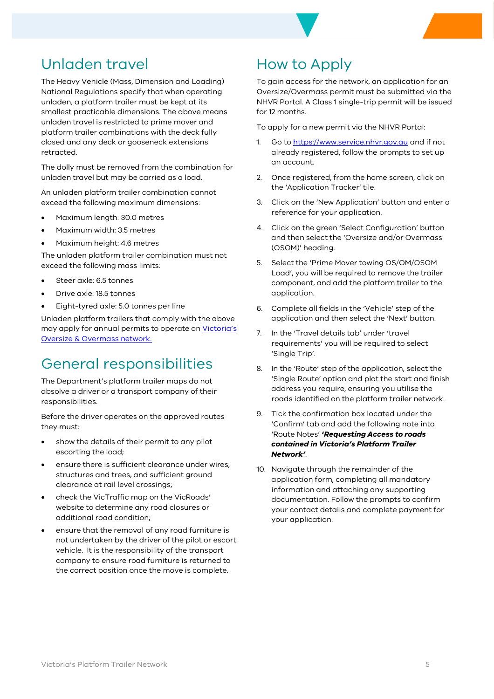

### Unladen travel

The Heavy Vehicle (Mass, Dimension and Loading) National Regulations specify that when operating unladen, a platform trailer must be kept at its smallest practicable dimensions. The above means unladen travel is restricted to prime mover and platform trailer combinations with the deck fully closed and any deck or gooseneck extensions retracted.

The dolly must be removed from the combination for unladen travel but may be carried as a load.

An unladen platform trailer combination cannot exceed the following maximum dimensions:

- Maximum length: 30.0 metres
- Maximum width: 3.5 metres
- Maximum height: 4.6 metres

The unladen platform trailer combination must not exceed the following mass limits:

- Steer axle: 6.5 tonnes
- Drive axle: 18.5 tonnes
- Eight-tyred axle: 5.0 tonnes per line

Unladen platform trailers that comply with the above may apply for annual permits to operate on [Victoria's](https://vicroadsmaps.maps.arcgis.com/apps/webappviewer/index.html?id=526b35d822ba437f833520c70da84587)  [Oversize & Overmass network.](https://vicroadsmaps.maps.arcgis.com/apps/webappviewer/index.html?id=526b35d822ba437f833520c70da84587) 

### General responsibilities

The Department's platform trailer maps do not absolve a driver or a transport company of their responsibilities.

Before the driver operates on the approved routes they must:

- show the details of their permit to any pilot escorting the load;
- ensure there is sufficient clearance under wires, structures and trees, and sufficient ground clearance at rail level crossings;
- check the VicTraffic map on the VicRoads' website to determine any road closures or additional road condition;
- ensure that the removal of any road furniture is not undertaken by the driver of the pilot or escort vehicle. It is the responsibility of the transport company to ensure road furniture is returned to the correct position once the move is complete.

### How to Apply

To gain access for the network, an application for an Oversize/Overmass permit must be submitted via the NHVR Portal. A Class 1 single-trip permit will be issued for 12 months.

To apply for a new permit via the NHVR Portal:

- 1. Go to [https://www.service.nhvr.gov.au](https://www.service.nhvr.gov.au/) and if not already registered, follow the prompts to set up an account.
- 2. Once registered, from the home screen, click on the 'Application Tracker' tile.
- 3. Click on the 'New Application' button and enter a reference for your application.
- 4. Click on the green 'Select Configuration' button and then select the 'Oversize and/or Overmass (OSOM)' heading.
- 5. Select the 'Prime Mover towing OS/OM/OSOM Load', you will be required to remove the trailer component, and add the platform trailer to the application.
- 6. Complete all fields in the 'Vehicle' step of the application and then select the 'Next' button.
- 7. In the 'Travel details tab' under 'travel requirements' you will be required to select 'Single Trip'.
- 8. In the 'Route' step of the application, select the 'Single Route' option and plot the start and finish address you require, ensuring you utilise the roads identified on the platform trailer network.
- 9. Tick the confirmation box located under the 'Confirm' tab and add the following note into 'Route Notes' **'***Requesting Access to roads contained in Victoria's Platform Trailer Network'*.
- <span id="page-4-0"></span>10. Navigate through the remainder of the application form, completing all mandatory information and attaching any supporting documentation. Follow the prompts to confirm your contact details and complete payment for your application.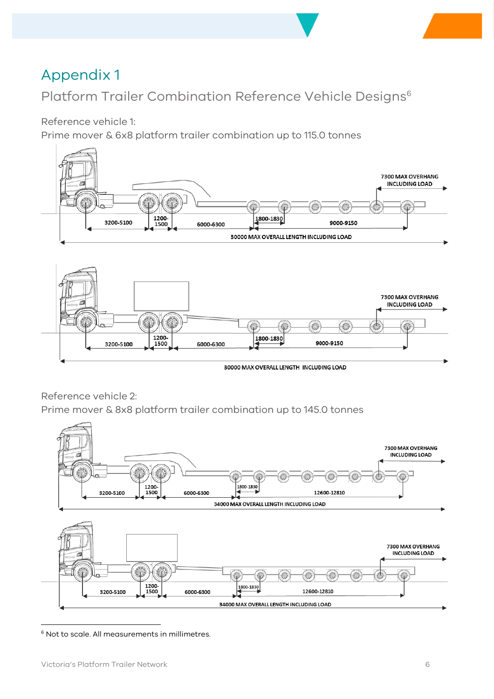### <span id="page-5-0"></span>Appendix 1

Platform Trailer Combination Reference Vehicle Designs<sup>6</sup>

Reference vehicle 1:

Prime mover & 6x8 platform trailer combination up to 115.0 tonnes





30000 MAX OVERALL LENGTH INCLUDING LOAD

Reference vehicle 2:

Prime mover & 8x8 platform trailer combination up to 145.0 tonnes



<sup>&</sup>lt;sup>6</sup> Not to scale. All measurements in millimetres.